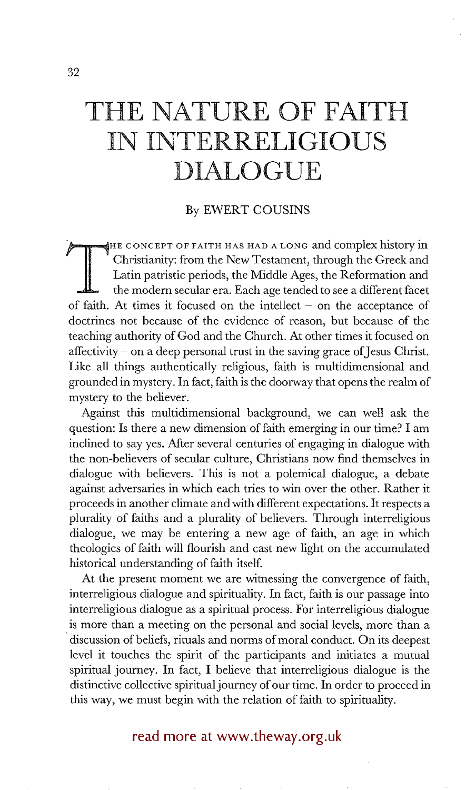# **THE NATURE OF FAITH IN INTERRELIGIOUS DIALOGUE**

# By EWERT COUSINS

The concentriest finite intellect and complete models of faith. At times it focused on the intellect - on the acceptance of  $\frac{1}{2}$  $\Delta$ не concept of faith has had a long and complex history in Christianity: from the New Testament, through the Greek and Latin patristic periods, the Middle Ages, the Reformation and the modern secular era. Each age tended to see a different facet doctrines not because of the evidence of reason, but because of the teaching authority of God and the Church. At other times it focused on affectivity  $-\text{on}$  a deep personal trust in the saving grace of Jesus Christ. Like all things authentically religious, faith is multidimensional and grounded in mystery. In fact, faith is the doorway that opens the realm of mystery to the believer.

Against this multidimensional background, we can well ask the question: Is there a new dimension of faith emerging in our time? I am inclined to say yes. After several centuries of engaging in dialogue with the non-believers of secular culture, Christians now find themselves in dialogue with believers. This is not a polemical dialogue, a debate against adversaries in which each tries to win over the other. Rather it proceeds in another climate and with different expectations. It respects a plurality of faiths and a plurality of believers. Through interreligious dialogue, we may be entering a new age of faith, an age in which theologies of faith will flourish and cast new light on the accumulated historical understanding of faith itself.

At the present moment we are witnessing the convergence of faith, interreligious dialogue and spirituality. In fact, faith is our passage into interreligious dialogue as a spiritual process. For interreligious dialogue is more than a meeting on the personal and social levels, more than a discussion of beliefs, rituals and norms of moral conduct. On its deepest level it touches the spirit of the participants and initiates a mutual spiritual journey. In fact, I believe that interreligious dialogue is the distinctive collective spiritual journey of our time. In order to proceed in this way, we must begin with the relation of faith to spirituality.

# read more at www.theway.org.uk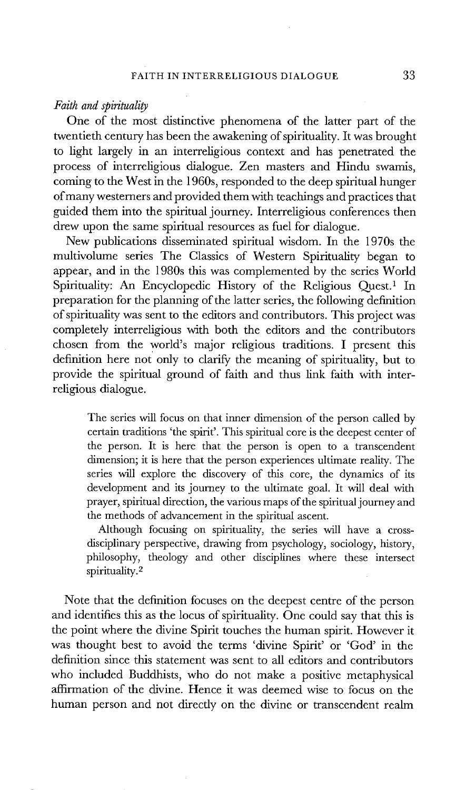## *Faith and spirituality*

One of the most distinctive phenomena of the latter part of the twentieth century has been the awakening of spirituality. It was brought to light largely in an interreligious context and has penetrated the process of interreligious dialogue. Zen masters and Hindu swamis, coming to the West in the 1960s, responded to the deep spiritual hunger of many westerners and provided them with teachings and practices that guided them into the spiritual journey. Interreligious conferences then drew upon the same spiritual resources as fuel for dialogue.

New publications disseminated spiritual wisdom. In the 1970s the multivolume series The Classics of Western Spirituality began to appear, and in the 1980s this was complemented by the series World Spirituality: An Encyclopedic History of the Religious Ouest.<sup>1</sup> In preparation for the planning of the latter series, the following definition of spirituality was sent to the editors and contributors. This project was completely interreligious with both the editors and the contributors chosen from the world's major religious traditions. I present this definition here not only to clarify the meaning of spirituality, but to provide the spiritual ground of faith and thus link faith with interreligious dialogue.

The series will focus on that inner dimension of the person called by certain traditions 'the spirit'. This spiritual core is the deepest center of the person. It is here that the person is open to a transcendent dimension; it is here that the person experiences ultimate reality. The series will explore the discovery of this core, the dynamics of its development and its journey to the ultimate goal. It will deal with prayer, spiritual direction, the various maps of the spiritual journey and the methods of advancement in the spiritual ascent.

Although focusing on spirituality, the series will have a crossdisciplinary perspective, drawing from psychology, sociology, history, philosophy, theology and other disciplines where these intersect spirituality.<sup>2</sup>

Note that the definition focuses on the deepest centre of the person and identifies this as the locus of spirituality. One could say that this is the point where the divine Spirit touches the human spirit. However it was thought best to avoid the terms 'divine Spirit' or 'God' in the definition since this statement was sent to all editors and contributors who included Buddhists, who do not make a positive metaphysical affirmation of the divine. Hence it was deemed wise to focus on the human person and not directly on the divine or transcendent realm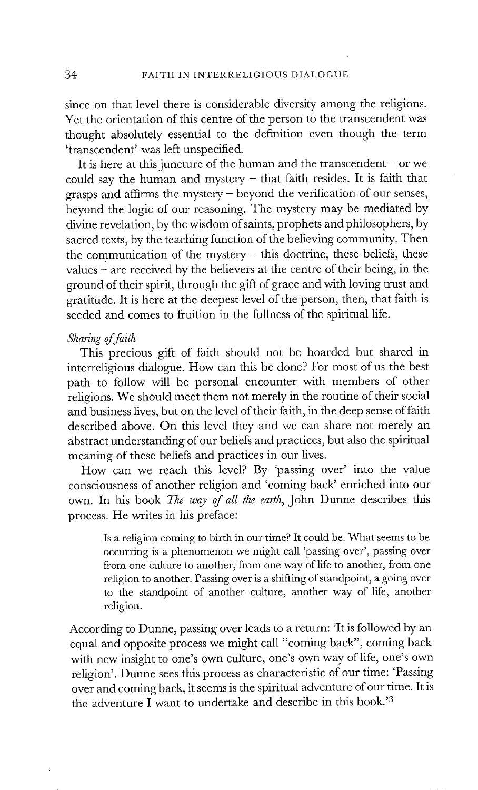since on that level there is considerable diversity among the religions. Yet the orientation of this centre of the person to the transcendent was thought absolutely essential to the definition even though the term 'transcendent' was left unspecified.

It is here at this juncture of the human and the transcendent  $-$  or we could say the human and mystery  $-$  that faith resides. It is faith that grasps and affirms the mystery  $-$  beyond the verification of our senses, beyond the logic of our reasoning. The mystery may be mediated by divine revelation, by the wisdom of saints, prophets and philosophers, by sacred texts, by the teaching function of the believing community. Then the communication of the mystery  $-$  this doctrine, these beliefs, these values  $-$  are received by the believers at the centre of their being, in the ground of their spirit, through the gift of grace and with loving trust and gratitude. It is here at the deepest level of the person, then, that faith is seeded and comes to fruition in the fullness of the spiritual life.

#### **Sharing** of faith

This precious gift of faith should not be hoarded but shared in interreligious dialogue. How can this be done? For most of us the best path to follow will be personal encounter with members of other religions. We should meet them not merely in the routine of their social and business lives, but on the level of their faith, in the deep sense of faith described above. On this level they and we can share not merely an abstract understanding of our beliefs and practices, but also the spiritual meaning of these beliefs and practices in our lives.

How can we reach this level? By 'passing over' into the value consciousness of another religion and 'coming back' enriched into our own. In his book The *way of all the earth,* John Dunne describes this process. He writes in his preface:

Is a religion coming to birth in our time? It could be. What seems to be occurring is a phenomenon we might call 'passing over', passing over from one culture to another, from one way of life to another, from one religion to another. Passing over is a shifting of standpoint, a going over to the standpoint of another culture, another way of life, another religion.

According to Dunne, passing over leads to a return: 'It is followed by an equal and opposite process we might call "coming back", coming back with new insight to one's own culture, one's own way of life, one's own religion'. Dunne sees this process as characteristic of our time: 'Passing over and coming back, it seems is the spiritual adventure of our time. It is the adventure I want to undertake and describe in this book. '3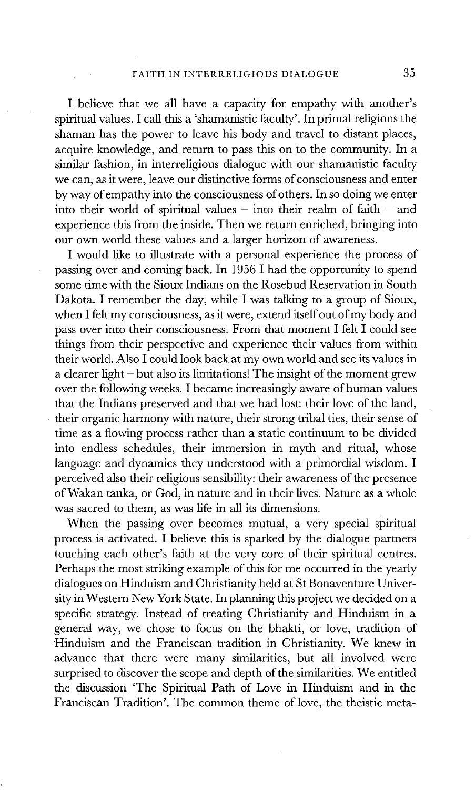I believe that we all have a capacity for empathy with another's spiritual values. I call this a 'shamanistic faculty'. In primal religions the shaman has the power to leave his body and travel to distant places, acquire knowledge, and return to pass this on to the community. In a similar fashion, in interreligious dialogue with our shamanistic faculty we can, as it were, leave our distinctive forms of consciousness and enter by way of empathy into the consciousness of others. In so doing we enter into their world of spiritual values  $-$  into their realm of faith  $-$  and experience this from the inside. Then we return enriched, bringing into our own world these values and a larger horizon of awareness.

I would like to illustrate with a personal experience the process of passing over and coming back. In 1956 1 had the opportunity to spend some time with the Sioux Indians on the Rosebud Reservation in South Dakota. I remember the day, while I was talking to a group of Sioux, when I felt my consciousness, as it were, extend itself out of my body and pass over into their consciousness. From that moment I felt I could see things from their perspective and experience their values from within their world. Also I could look back at my own world and see its values in a clearer light - but also its limitations! The insight of the moment grew over the following weeks. I became increasingly aware of human values that the Indians preserved and that we had lost: their love of the land, • their organic harmony with nature, their strong tribal ties, their sense of time as a flowing process rather than a static continuum to be divided into endless schedules, their immersion in myth and ritual, whose language and dynamics they understood with a primordial wisdom. I perceived also their religious sensibility: their awareness of the presence ofWakan tanka, or God, in nature and in their lives. Nature as a whole was sacred to them, as was life in all its dimensions.

When the passing over becomes mutual, a very special spiritual process is activated. I believe this is sparked by the dialogue partners touching each other's faith at the very core of their spiritual centres. Perhaps the most striking example of this for me occurred in the yearly dialogues on Hinduism and Christianity held at St Bonaventure University in Western New York State. In planning this project we decided on a specific strategy. Instead of treating Christianity and Hinduism in a general way, we chose to focus on the bhakti, or love, tradition of Hinduism and the Franciscan tradition in Christianity. We knew in advance that there were many similarities, but all involved were surprised to discover the scope and depth of the similarities. We entitled the discussion 'The Spiritual Path of Love in Hinduism and in the Franciscan Tradition'. The common theme of love, the theistic meta-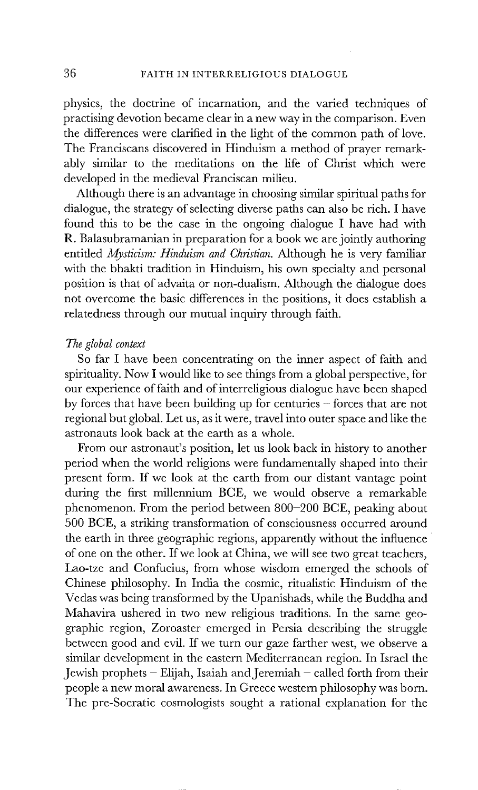physics, the doctrine of incarnation, and the varied techniques of practising devotion became clear in a new way in the comparison. Even the differences were clarified in the light of the common path of love. The Franciscans discovered in Hinduism a method of prayer remarkably similar to the meditations on the life of Christ which were developed in the medieval Franciscan milieu.

Although there is an advantage in choosing similar spiritual paths for dialogue, the strategy of selecting diverse paths can also be rich. I have found this to be the case in the ongoing dialogue I have had with R. Balasubramanian in preparation for a book we are jointly authoring entitled *Mysticism: Hinduism and Christian.* Although he is very familiar with the bhakti tradition in Hinduism, his own specialty and personal position is that of advaita or non-dualism. Although the dialogue does not overcome the basic differences in the positions, it does establish a relatedness through our mutual inquiry through faith.

## *The global context*

So far I have been concentrating on the inner aspect of faith and spirituality. Now I would like to see things from a global perspective, for our experience of faith and of interreligious dialogue have been shaped by forces that have been building up for centuries - forces that are not regional but global. Let us, as it were, travel into outer space and like the astronauts look back at the earth as a whole.

From our astronaut's position, let us look back in history to another period when the world religions were fundamentally shaped into their present form. If we look at the earth from our distant vantage point during the first millennium BCE, we would observe a remarkable phenomenon. From the period between 800-200 BCE, peaking about 500 BCE, a striking transformation of consciousness occurred around the earth in three geographic regions, apparently without the influence of one on the other. If we look at China, we will see two great teachers, Lao-tze and Confucius, from whose wisdom emerged the schools of Chinese philosophy. In India the cosmic, ritualistic Hinduism of the Vedas was being transformed by the Upanishads, while the Buddha and Mahavira ushered in two new religious traditions. In the same geographic region, Zoroaster emerged in Persia describing the struggle between good and evil. If we turn our gaze farther west, we observe a similar development in the eastern Mediterranean region. In Israel the Jewish prophets - Elijah, Isaiah and Jeremiah - called forth from their people a new moral awareness. In Greece western philosophy was born. The pre-Socratic cosmologists sought a rational explanation for the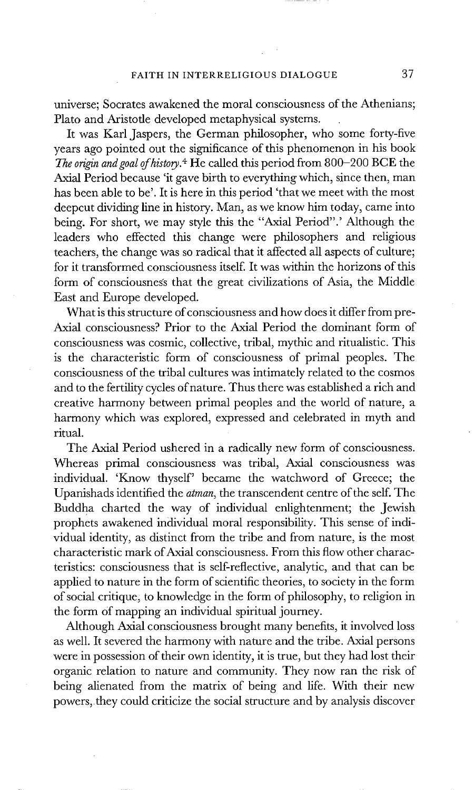universe; Socrates awakened the moral consciousness of the Athenians; Plato and Aristotle developed metaphysical systems.

It was Karl Jaspers, the German philosopher, who some forty-five years ago pointed out the significance of this phenomenon in his book *The origin and goal of history*.<sup>4</sup> He called this period from 800-200 BCE the Axial Period because 'it gave birth to everything which, since then, man has been able to be'. It is here in this period 'that we meet with the most deepcut dividing line in history. Man, as we know him today, came into being. For short, we may style this the "Axial Period".' Although the leaders who effected this change were philosophers and religious teachers, the change was so radical that it affected all aspects of culture; for it transformed consciousness itself. It was within the horizons of this form of consciousnegs that the great civilizations of Asia, the Middle East and Europe developed.

What is this structure of consciousness and how does it differ from pre-Axial consciousness? Prior to the Axial Period the dominant form of consciousness was cosmic, collective, tribal, mythic and ritualistic. This is the *characteristic* form of consciousness of primal peoples. The consciousness of the tribal cultures was intimately related to the cosmos and to the fertility cycles of nature. Thus there was established a rich and creative harmony between primal peoples and the world of nature, a harmony which was explored, expressed and celebrated in myth and ritual.

The Axial Period ushered in a radically new form of consciousness. Whereas primal consciousness was tribal, Axial consciousness was individual. 'Know thyself' became the watchword of Greece; the Upanishads identified the *atman,* the transcendent centre of the self. The Buddha charted the way of individual enlightenment; the Jewish prophets awakened individual moral responsibility. This sense of individual identity, as distinct from the tribe and from nature, is the most characteristic mark of Axial consciousness. From this flow other characteristics: consciousness that is self-reflective, analytic, and that can be applied to nature in the form of scientific theories, to society in the form of social critique, to knowledge in the form of philosophy, to religion in the form of mapping an individual spiritual journey.

Although Axial consciousness brought many benefits, it involved loss as well. It severed the harmony with nature and the tribe. Axial persons were in possession of their own identity, it is true, but they had lost their organic relation to nature and community. They now ran the risk of being alienated from the matrix of being and life. With their new powers, they could criticize the social structure and by analysis discover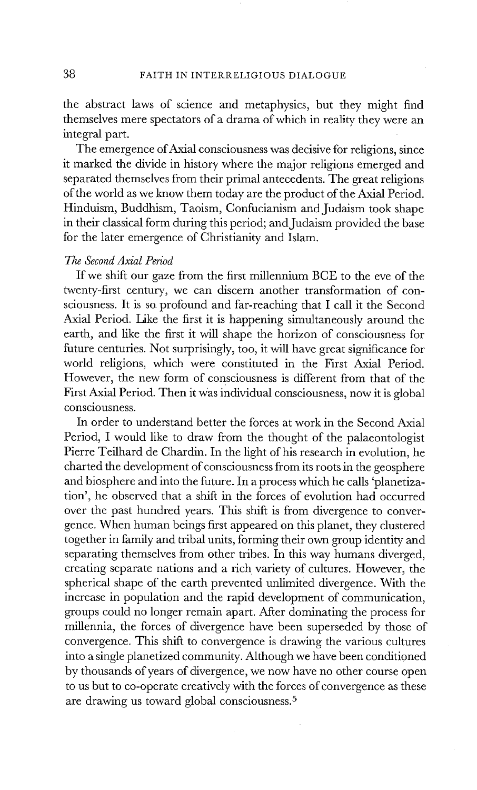the abstract laws of science and metaphysics, but they might find themselves mere spectators of a drama of which in reality they were an integral part.

The emergence of Axial consciousness was decisive for religions, since it marked the divide in history where the major religions emerged and separated themselves from their primal antecedents. The great religions of the world as we know them today are the product of the Axial Period. Hinduism, Buddhism, Taoism, Confucianism and Judaism took shape in their classical form during this period; and Judaism provided the base for the later emergence of Christianity and Islam.

# *The Second Axial Period*

If we shift our gaze from the first millennium BCE to the eve of the twenty-first century, we can discern another transformation of consciousness. It is so. profound and far-reaching that I call it the Second Axial Period. Like the first it is happening simultaneously around the earth, and like the first it will shape the horizon of consciousness for future centuries. Not surprisingly, too, it will have great significance for world religions, which were constituted in the First Axial Period. However, the new form of consciousness is different from that of the First Axial Period. Then it Was individual consciousness, now it is global consciousness.

In order to understand better the forces at work in the Second Axial Period, I would like to draw from the thought of the palaeontologist Pierre Teilhard de Chardin. In the light of his research in evolution, he charted the development of consciousness from its roots in the geosphere and biosphere and into the future. In a process which he calls 'planetization', he observed that a shift in the forces of evolution had occurred over the past hundred years. This shift is from divergence to convergence. When human beings first appeared on this planet, they clustered together in family and tribal units, forming their own group identity and separating themselves from other tribes. In this way humans diverged, creating separate nations and a rich variety of cultures. However, the spherical shape of the earth prevented unlimited divergence. With the increase in population and the rapid development of communication, groups could no longer remain apart. After dominating the process for millennia, the forces of divergence have been superseded by those of convergence. This shift to convergence is drawing the various cultures into a single planetized community. Although we have been conditioned by thousands of years of divergence, we now have no other course open to us but to co-operate creatively with the forces of convergence as these are drawing us toward global consciousness. 5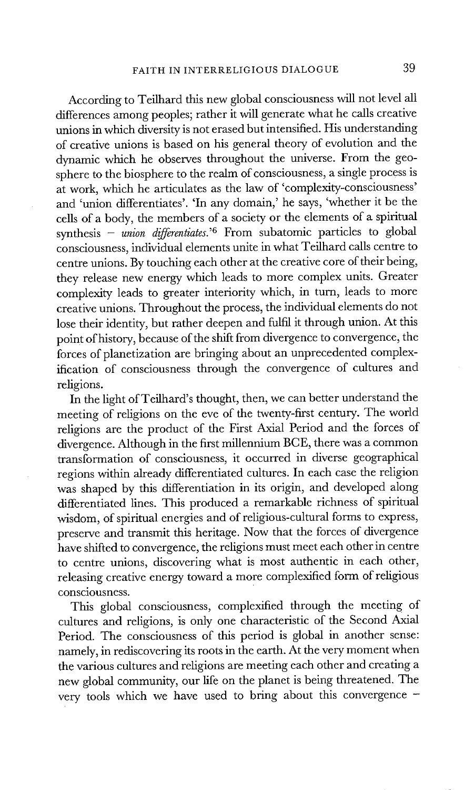According to Teilhard this new global consciousness will not level all differences among peoples; rather it will generate what he calls creative unions in which diversity is not erased but intensified. His understanding of creative unions is based on his general theory of evolution and the dynamic which he observes throughout the universe. From the geosphere to the biosphere to the realm of consciousness, a single process is at work, which he articulates as the law of 'complexity-consciousness' and 'union differentiates'. 'In any domain,' he says, 'whether it be the cells of a body, the members of a society or the elements of a spiritual synthesis - *union differentiates*.<sup>36</sup> From subatomic particles to global consciousness, individual elements unite in what Teilhard calls centre to centre unions. By touching each other at the creative core of their being, they release new energy which leads to more complex units. Greater complexity leads to greater interiority which, in turn, leads to more creative unions. Throughout the process, the individual elements do not lose their identity, but rather deepen and fulfil it through union. At this point of history, because of the shift from divergence to convergence, the forces of planetization are bringing about an unprecedented complexification of consciousness through the convergence of cultures and religions.

In the light of Teilhard's thought, then, we can better understand the meeting of religions on the eve of the twenty-first century. The world religions are the product of the First Axial Period and the forces of divergence. Although in the first millennium BCE, there was a common transformation of consciousness, it occurred in diverse geographical regions within already differentiated cultures. In each case the religion was shaped by this differentiation in its origin, and developed along differentiated lines. This produced a remarkable richness of spiritual wisdom, of spiritual energies and of religious-cultural forms to express, preserve and transmit this heritage. Now that the forces of divergence have shifted to convergence, the religions must meet each other in centre to centre unions, discovering what is most authentic in each other, releasing creative energy toward a more complexified form of religious consciousness.

This global consciousness, complexified through the meeting of cultures and religions, is only one characteristic of the Second Axial Period. The consciousness of this period is global in another sense: namely, in rediscovering its roots in the earth. At the very moment when the various cultures and religions are meeting each other and creating a new global community, our life on the planet is being threatened. The very tools which we have used to bring about this convergence  $-$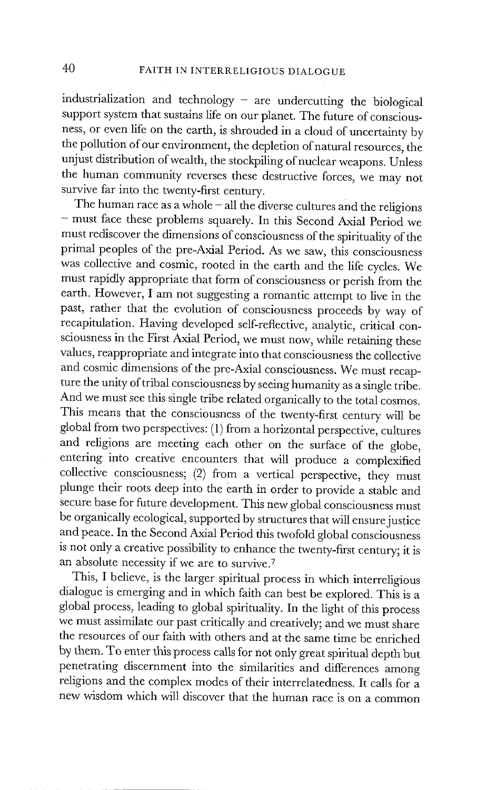industrialization and technology  $-$  are undercutting the biological support system that sustains life on our planet. The future of consciousness, or even life on the earth, is shrouded in a cloud of uncertainty by the pollution of our environment, the depletion of natural resources, the unjust distribution of wealth, the stockpiling of nuclear weapons. Unless the human community reverses these destructive forces, we may not survive far into the twenty-first century.

The human race as a whole  $-$  all the diverse cultures and the religions **-** must face these problems squarely. In this Second Axial Period we must rediscover the dimensions of consciousness of the spirituality of the primal peoples of the pre-Axial Period. As we saw, this consciousness was collective and cosmic, rooted in the earth and the life cycles. We must rapidly appropriate that form of consciousness or perish from the earth. However, I am not suggesting a romantic attempt to live in the past, rather that the evolution of consciousness proceeds by way of recapitulation. Having developed self-reflective, analytic, critical consciousness in the First Axial Period, we must now, while retaining these values, reappropriate and integrate into that consciousness the collective and cosmic dimensions of the pre-Axial consciousness. We must recapture the unity of tribal consciousness by seeing humanity as a single tribe. And we must see this single tribe related organically to the total cosmos. This means that the consciousness of the twenty-first century will be global from two perspectives: (1) from a horizontal perspective, cultures and religions are meeting each other on the surface of the globe, entering into creative encounters that will produce a complexified collective consciousness; (2) from a vertical perspective, they must plunge their roots deep into the earth in order to provide a stable and secure base for future development. This new global consciousness must be organically ecological, supported by structures that will ensure justice and peace. In the Second Axial Period this twofold global consciousness is not only a creative possibility to enhance the twenty-first century; it is an absolute necessity if we are to survive. 7

This, I believe, is the larger spiritual process in which interreligious dialogue is emerging and in which faith can best be explored. This is a global process, leading to global spirituality. In the light of this process we must assimilate our past critically and creatively; and we must share the resources of our faith with others and at the same time be enriched by them. To enter this process calls for not only great spiritual depth but penetrating discernment into the similarities and differences among religions and the complex modes of their interrelatedness. It calls for a new wisdom which will discover that the human race is on a common